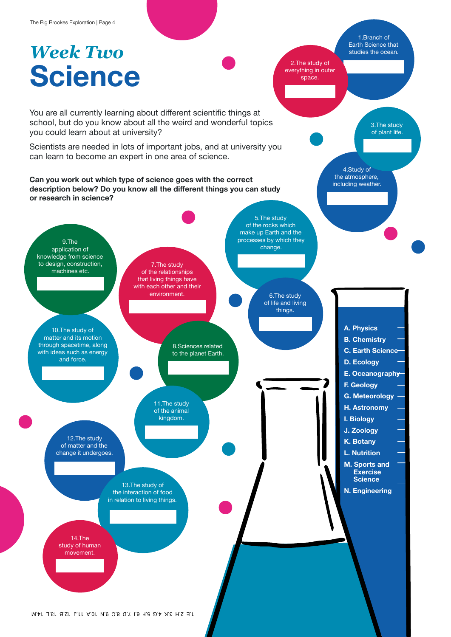## *Week Two* **Science**

1.Branch of Earth Science that studies the ocean.

> 3.The study of plant life.

2.The study of everything in outer space.

> 4.Study of the atmosphere, including weather.

You are all currently learning about different scientific things at school, but do you know about all the weird and wonderful topics you could learn about at university?

Scientists are needed in lots of important jobs, and at university you can learn to become an expert in one area of science.

**Can you work out which type of science goes with the correct description below? Do you know all the different things you can study or research in science?**